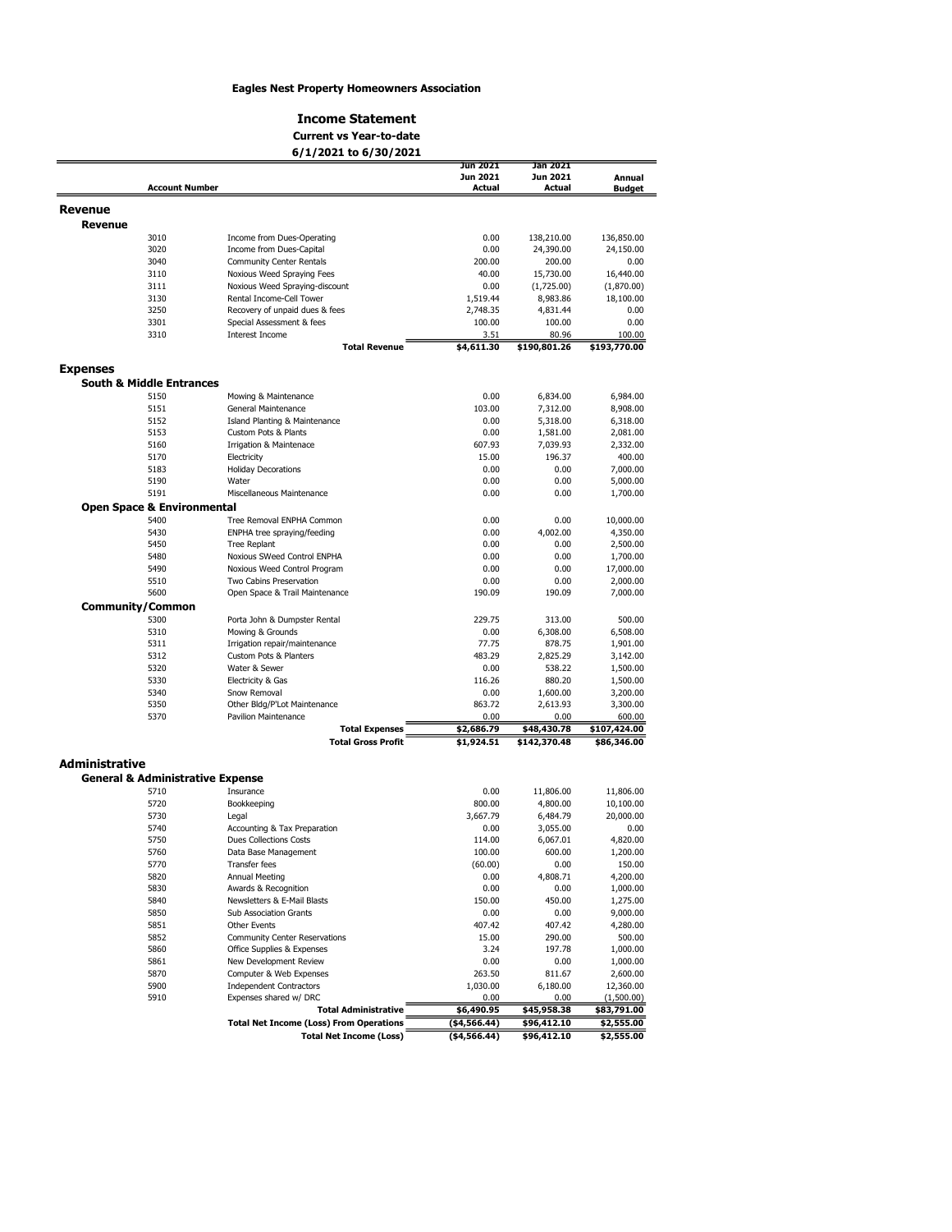## Eagles Nest Property Homeowners Association

#### Income Statement

# Current vs Year-to-date

|                       | 6/1/2021 to 6/30/2021                       |                                      |                |                       |               |
|-----------------------|---------------------------------------------|--------------------------------------|----------------|-----------------------|---------------|
|                       |                                             |                                      | Jun 2021       | Jan 2021              |               |
|                       |                                             |                                      | Jun 2021       | Jun 2021              | Annual        |
|                       | <b>Account Number</b>                       |                                      | Actual         | <b>Actual</b>         | <b>Budget</b> |
| <b>Revenue</b>        |                                             |                                      |                |                       |               |
| <b>Revenue</b>        |                                             |                                      |                |                       |               |
|                       | 3010                                        | Income from Dues-Operating           | 0.00           | 138,210.00            | 136,850.00    |
|                       | 3020                                        | Income from Dues-Capital             | 0.00           | 24,390.00             | 24,150.00     |
|                       | 3040                                        | <b>Community Center Rentals</b>      | 200.00         | 200.00                | 0.00          |
|                       | 3110                                        | Noxious Weed Spraying Fees           | 40.00          | 15,730.00             | 16,440.00     |
|                       | 3111                                        | Noxious Weed Spraying-discount       | 0.00           | (1,725.00)            | (1,870.00)    |
|                       | 3130                                        | Rental Income-Cell Tower             | 1,519.44       | 8,983.86              | 18,100.00     |
|                       | 3250                                        | Recovery of unpaid dues & fees       | 2,748.35       | 4,831.44              | 0.00          |
|                       | 3301                                        | Special Assessment & fees            | 100.00         | 100.00                | 0.00          |
|                       | 3310                                        | <b>Interest Income</b>               | 3.51           | 80.96                 | 100.00        |
|                       |                                             | <b>Total Revenue</b>                 | \$4,611.30     | \$190,801.26          | \$193,770.00  |
| <b>Expenses</b>       |                                             |                                      |                |                       |               |
|                       | <b>South &amp; Middle Entrances</b>         |                                      |                |                       |               |
|                       | 5150                                        | Mowing & Maintenance                 | 0.00           | 6,834.00              | 6,984.00      |
|                       | 5151                                        | General Maintenance                  | 103.00         | 7,312.00              | 8,908.00      |
|                       | 5152                                        | Island Planting & Maintenance        | 0.00           | 5,318.00              | 6,318.00      |
|                       | 5153                                        | Custom Pots & Plants                 | 0.00           | 1,581.00              | 2,081.00      |
|                       | 5160                                        | <b>Irrigation &amp; Maintenace</b>   | 607.93         | 7,039.93              | 2,332.00      |
|                       | 5170                                        | Electricity                          | 15.00          | 196.37                | 400.00        |
|                       | 5183                                        | <b>Holiday Decorations</b>           | 0.00           | 0.00                  | 7,000.00      |
|                       | 5190                                        | Water                                | 0.00           | 0.00                  | 5,000.00      |
|                       | 5191                                        | Miscellaneous Maintenance            |                | 0.00                  |               |
|                       |                                             |                                      | 0.00           |                       | 1,700.00      |
|                       | <b>Open Space &amp; Environmental</b>       |                                      |                |                       |               |
|                       | 5400                                        | Tree Removal ENPHA Common            | 0.00           | 0.00                  | 10,000.00     |
|                       | 5430                                        | ENPHA tree spraying/feeding          | 0.00           | 4,002.00              | 4,350.00      |
|                       | 5450                                        | <b>Tree Replant</b>                  | 0.00           | 0.00                  | 2,500.00      |
|                       | 5480                                        | Noxious SWeed Control ENPHA          | 0.00           | 0.00                  | 1,700.00      |
|                       | 5490                                        | Noxious Weed Control Program         | 0.00           | 0.00                  | 17,000.00     |
|                       | 5510                                        | Two Cabins Preservation              | 0.00           | 0.00                  | 2,000.00      |
|                       | 5600                                        | Open Space & Trail Maintenance       | 190.09         | 190.09                | 7,000.00      |
|                       | <b>Community/Common</b>                     |                                      |                |                       |               |
|                       | 5300                                        | Porta John & Dumpster Rental         | 229.75         | 313.00                | 500.00        |
|                       | 5310                                        | Mowing & Grounds                     | 0.00           | 6,308.00              | 6,508.00      |
|                       | 5311                                        | Irrigation repair/maintenance        | 77.75          | 878.75                | 1,901.00      |
|                       | 5312                                        | Custom Pots & Planters               | 483.29         | 2,825.29              | 3,142.00      |
|                       | 5320                                        | Water & Sewer                        | 0.00           | 538.22                | 1,500.00      |
|                       | 5330                                        | Electricity & Gas                    | 116.26         | 880.20                | 1,500.00      |
|                       | 5340                                        | Snow Removal                         | 0.00           | 1,600.00              | 3,200.00      |
|                       | 5350                                        | Other Bldg/P'Lot Maintenance         | 863.72         | 2,613.93              | 3,300.00      |
|                       | 5370                                        | <b>Pavilion Maintenance</b>          | 0.00           | 0.00                  | 600.00        |
|                       |                                             | <b>Total Expenses</b>                | \$2,686.79     | \$48,430.78           | \$107,424.00  |
|                       |                                             | <b>Total Gross Profit</b>            | \$1,924.51     | \$142,370.48          | \$86,346.00   |
| <b>Administrative</b> |                                             |                                      |                |                       |               |
|                       | <b>General &amp; Administrative Expense</b> |                                      |                |                       |               |
|                       |                                             |                                      |                |                       |               |
|                       | 5710<br>5720                                | Insurance<br>Bookkeeping             | 0.00<br>800.00 | 11,806.00<br>4,800.00 | 11,806.00     |
|                       |                                             |                                      |                |                       | 10,100.00     |
|                       | 5730                                        | Legal                                | 3,667.79       | 6,484.79              | 20,000.00     |
|                       | 5740                                        | Accounting & Tax Preparation         | 0.00           | 3,055.00              | 0.00          |
|                       | 5750                                        | <b>Dues Collections Costs</b>        | 114.00         | 6,067.01              | 4,820.00      |
|                       | 5760                                        | Data Base Management                 | 100.00         | 600.00                | 1,200.00      |
|                       | 5770                                        | <b>Transfer fees</b>                 | (60.00)        | 0.00                  | 150.00        |
|                       | 5820                                        | Annual Meeting                       | 0.00           | 4,808.71              | 4,200.00      |
|                       | 5830                                        | Awards & Recognition                 | 0.00           | 0.00                  | 1,000.00      |
|                       | 5840                                        | Newsletters & E-Mail Blasts          | 150.00         | 450.00                | 1,275.00      |
|                       | 5850                                        | Sub Association Grants               | 0.00           | 0.00                  | 9,000.00      |
|                       | 5851                                        | <b>Other Events</b>                  | 407.42         | 407.42                | 4,280.00      |
|                       | 5852                                        | <b>Community Center Reservations</b> | 15.00          | 290.00                | 500.00        |
|                       | 5860                                        | Office Supplies & Expenses           | 3.24           | 197.78                | 1,000.00      |

5860 Office Supplies & Expenses 3.24 197.78<br>5861 New Development Review 6.00 0.00 0.00 5861 New Development Review 0.00 0.00 0.00 0.00<br>5870 Computer & Web Expenses 263.50 811.67 5870 Computer & Web Expenses 263.50 811.67<br>5900 Independent Contractors 1,030.00 6,180.00

Total Net Income (Loss)

Total Administrative

 $\frac{0.00}{1}$ <br>\$45,958.38<br>\$96,412.10

12,360.00  $\frac{(1,500.00)}{$}$ \$83,791.00

1,000.00 1,000.00 2,600.00

 $\frac{1}{596,412.10}$ 

 $\frac{(4,566.44)}{(4,566.44)}$ 

Total Net Income (Loss) From Operations **1998** (\$4,566.44) \$2,555.00<br>Total Net Income (Loss) (\$4,566.44) \$96,412.10 \$2,555.00

5900 Independent Contractors 1,030.00<br>5910 Expenses shared w/ DRC **Total Administrative** 66,490.95

Expenses shared w/ DRC